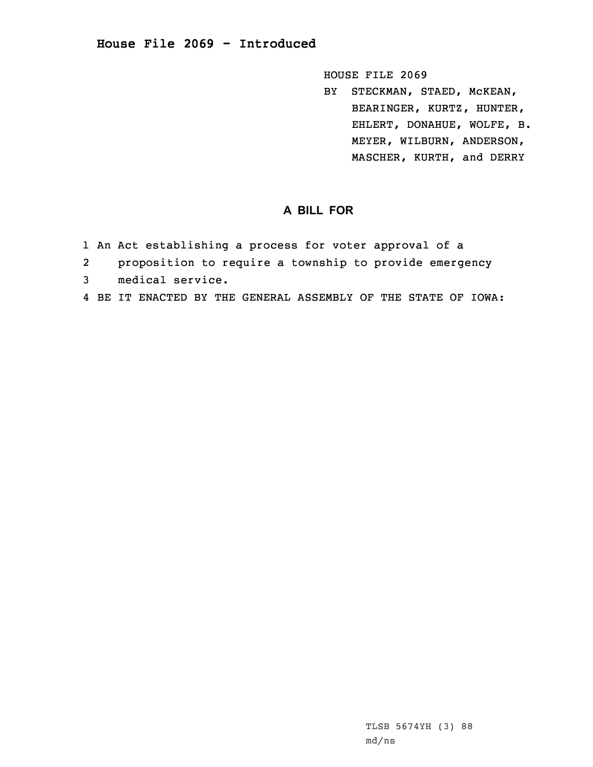## **House File 2069 - Introduced**

HOUSE FILE 2069

BY STECKMAN, STAED, McKEAN, BEARINGER, KURTZ, HUNTER, EHLERT, DONAHUE, WOLFE, B. MEYER, WILBURN, ANDERSON, MASCHER, KURTH, and DERRY

## **A BILL FOR**

- 1 An Act establishing <sup>a</sup> process for voter approval of <sup>a</sup>
- 2proposition to require <sup>a</sup> township to provide emergency
- 3 medical service.
- 4 BE IT ENACTED BY THE GENERAL ASSEMBLY OF THE STATE OF IOWA: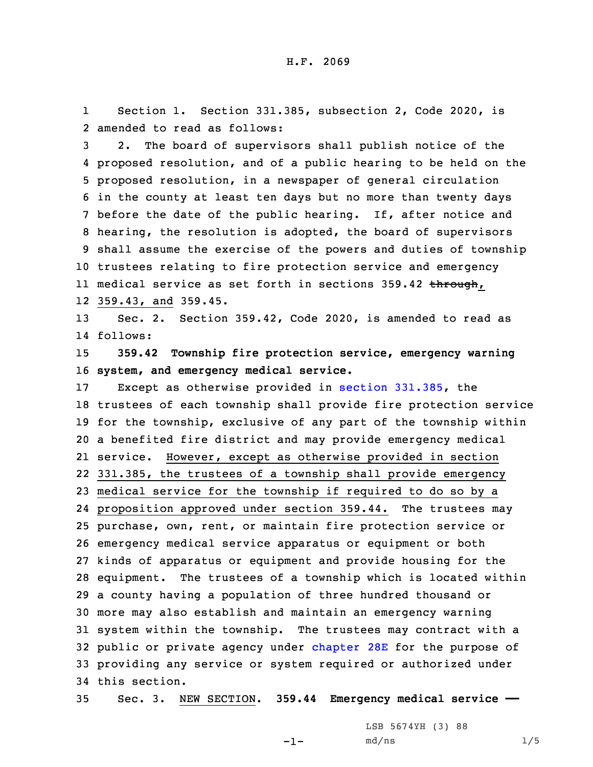1 Section 1. Section 331.385, subsection 2, Code 2020, is 2 amended to read as follows:

 2. The board of supervisors shall publish notice of the proposed resolution, and of <sup>a</sup> public hearing to be held on the proposed resolution, in <sup>a</sup> newspaper of general circulation in the county at least ten days but no more than twenty days before the date of the public hearing. If, after notice and hearing, the resolution is adopted, the board of supervisors shall assume the exercise of the powers and duties of township trustees relating to fire protection service and emergency ll medical service as set forth in sections 359.42 <del>through</del>, 359.43, and 359.45.

13 Sec. 2. Section 359.42, Code 2020, is amended to read as 14 follows:

15 **359.42 Township fire protection service, emergency warning** 16 **system, and emergency medical service.**

 Except as otherwise provided in section [331.385](https://www.legis.iowa.gov/docs/code/2020/331.385.pdf), the trustees of each township shall provide fire protection service for the township, exclusive of any part of the township within <sup>a</sup> benefited fire district and may provide emergency medical service. However, except as otherwise provided in section 331.385, the trustees of <sup>a</sup> township shall provide emergency medical service for the township if required to do so by <sup>a</sup> proposition approved under section 359.44. The trustees may purchase, own, rent, or maintain fire protection service or emergency medical service apparatus or equipment or both kinds of apparatus or equipment and provide housing for the equipment. The trustees of <sup>a</sup> township which is located within <sup>a</sup> county having <sup>a</sup> population of three hundred thousand or more may also establish and maintain an emergency warning system within the township. The trustees may contract with <sup>a</sup> public or private agency under [chapter](https://www.legis.iowa.gov/docs/code/2020/28E.pdf) 28E for the purpose of providing any service or system required or authorized under this section.

35 Sec. 3. NEW SECTION. **359.44 Emergency medical service ——**

-1-

LSB 5674YH (3) 88 md/ns 1/5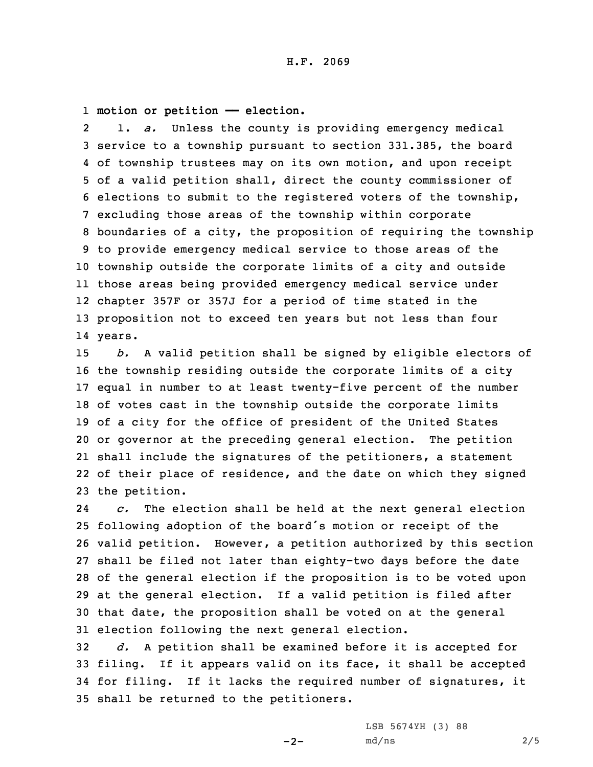## 1 **motion or petition —— election.**

2 1. *a.* Unless the county is providing emergency medical service to <sup>a</sup> township pursuant to section 331.385, the board of township trustees may on its own motion, and upon receipt of <sup>a</sup> valid petition shall, direct the county commissioner of elections to submit to the registered voters of the township, excluding those areas of the township within corporate boundaries of <sup>a</sup> city, the proposition of requiring the township to provide emergency medical service to those areas of the township outside the corporate limits of <sup>a</sup> city and outside those areas being provided emergency medical service under chapter 357F or 357J for <sup>a</sup> period of time stated in the proposition not to exceed ten years but not less than four 14 years.

 *b.* <sup>A</sup> valid petition shall be signed by eligible electors of the township residing outside the corporate limits of <sup>a</sup> city equal in number to at least twenty-five percent of the number of votes cast in the township outside the corporate limits of <sup>a</sup> city for the office of president of the United States or governor at the preceding general election. The petition shall include the signatures of the petitioners, <sup>a</sup> statement of their place of residence, and the date on which they signed the petition.

24 *c.* The election shall be held at the next general election following adoption of the board's motion or receipt of the valid petition. However, <sup>a</sup> petition authorized by this section shall be filed not later than eighty-two days before the date of the general election if the proposition is to be voted upon at the general election. If <sup>a</sup> valid petition is filed after that date, the proposition shall be voted on at the general election following the next general election.

 *d.* <sup>A</sup> petition shall be examined before it is accepted for filing. If it appears valid on its face, it shall be accepted for filing. If it lacks the required number of signatures, it shall be returned to the petitioners.

 $-2-$ 

LSB 5674YH (3) 88 md/ns 2/5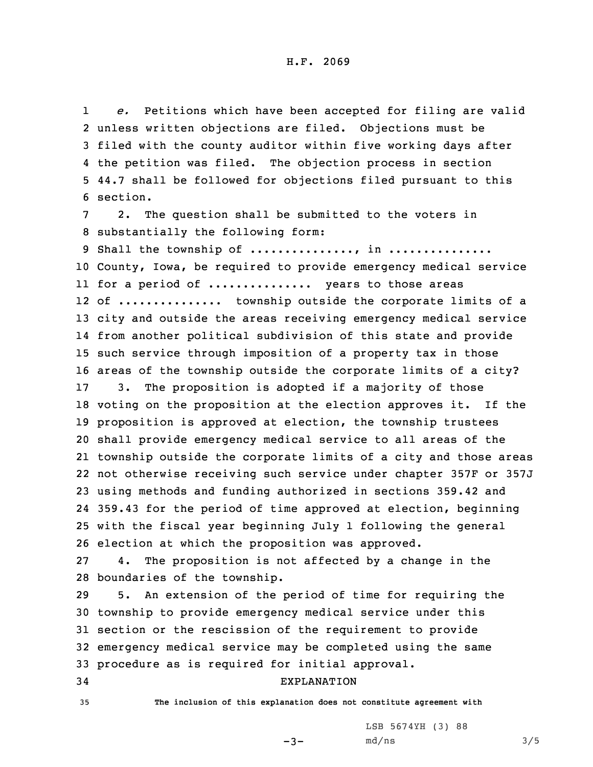1 *e.* Petitions which have been accepted for filing are valid 2 unless written objections are filed. Objections must be 3 filed with the county auditor within five working days after 4 the petition was filed. The objection process in section 5 44.7 shall be followed for objections filed pursuant to this 6 section.

7 2. The question shall be submitted to the voters in 8 substantially the following form:

9 Shall the township of ..............., in ................ County, Iowa, be required to provide emergency medical service for <sup>a</sup> period of ............... years to those areas 12 of .............. township outside the corporate limits of a city and outside the areas receiving emergency medical service from another political subdivision of this state and provide such service through imposition of <sup>a</sup> property tax in those areas of the township outside the corporate limits of <sup>a</sup> city? 3. The proposition is adopted if <sup>a</sup> majority of those voting on the proposition at the election approves it. If the proposition is approved at election, the township trustees shall provide emergency medical service to all areas of the township outside the corporate limits of <sup>a</sup> city and those areas not otherwise receiving such service under chapter 357F or 357J using methods and funding authorized in sections 359.42 and 359.43 for the period of time approved at election, beginning with the fiscal year beginning July 1 following the general election at which the proposition was approved.

27 4. The proposition is not affected by <sup>a</sup> change in the 28 boundaries of the township.

 5. An extension of the period of time for requiring the township to provide emergency medical service under this section or the rescission of the requirement to provide emergency medical service may be completed using the same procedure as is required for initial approval.

## 34 EXPLANATION

35 **The inclusion of this explanation does not constitute agreement with**

LSB 5674YH (3) 88  $md/ns$  3/5

 $-3-$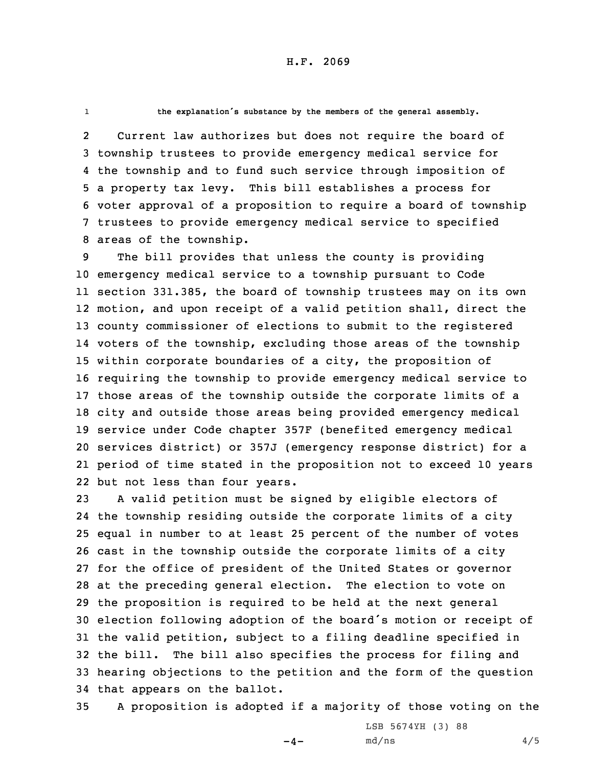```
1
```
**the explanation's substance by the members of the general assembly.**

2 Current law authorizes but does not require the board of township trustees to provide emergency medical service for the township and to fund such service through imposition of <sup>a</sup> property tax levy. This bill establishes <sup>a</sup> process for voter approval of <sup>a</sup> proposition to require <sup>a</sup> board of township trustees to provide emergency medical service to specified areas of the township.

 The bill provides that unless the county is providing emergency medical service to <sup>a</sup> township pursuant to Code section 331.385, the board of township trustees may on its own motion, and upon receipt of <sup>a</sup> valid petition shall, direct the county commissioner of elections to submit to the registered voters of the township, excluding those areas of the township within corporate boundaries of <sup>a</sup> city, the proposition of requiring the township to provide emergency medical service to those areas of the township outside the corporate limits of <sup>a</sup> city and outside those areas being provided emergency medical service under Code chapter 357F (benefited emergency medical services district) or 357J (emergency response district) for <sup>a</sup> period of time stated in the proposition not to exceed 10 years but not less than four years.

 <sup>A</sup> valid petition must be signed by eligible electors of the township residing outside the corporate limits of <sup>a</sup> city equal in number to at least 25 percent of the number of votes cast in the township outside the corporate limits of <sup>a</sup> city for the office of president of the United States or governor at the preceding general election. The election to vote on the proposition is required to be held at the next general election following adoption of the board's motion or receipt of the valid petition, subject to <sup>a</sup> filing deadline specified in the bill. The bill also specifies the process for filing and hearing objections to the petition and the form of the question that appears on the ballot.

35 <sup>A</sup> proposition is adopted if <sup>a</sup> majority of those voting on the

 $-4-$ 

LSB 5674YH (3) 88  $md/ns$  4/5